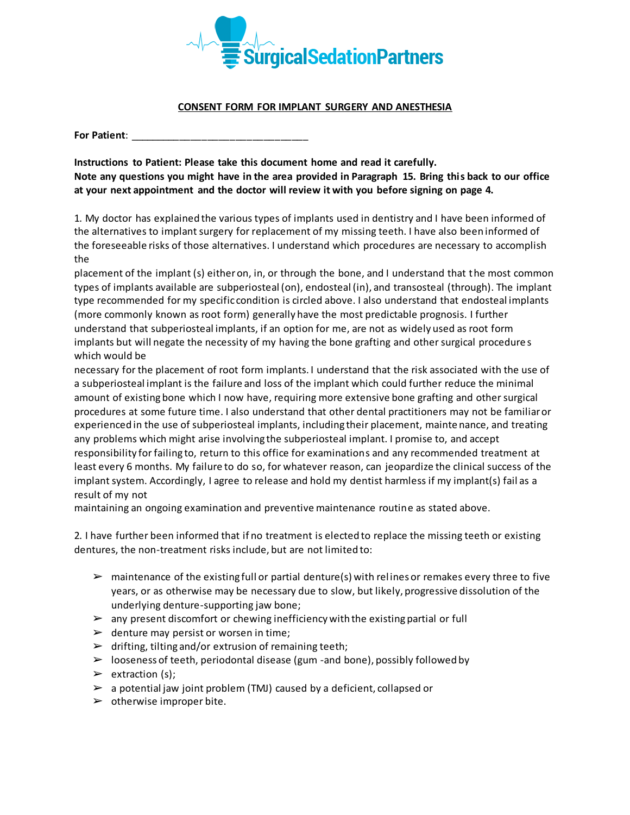

## **CONSENT FORM FOR IMPLANT SURGERY AND ANESTHESIA**

**For Patient:** 

**Instructions to Patient: Please take this document home and read it carefully. Note any questions you might have in the area provided in Paragraph 15. Bring this back to our office at your next appointment and the doctor will review it with you before signing on page 4.**

1. My doctor has explained the various types of implants used in dentistry and I have been informed of the alternatives to implant surgery for replacement of my missing teeth. I have also been informed of the foreseeable risks of those alternatives. I understand which procedures are necessary to accomplish the

placement of the implant (s) either on, in, or through the bone, and I understand that the most common types of implants available are subperiosteal (on), endosteal (in), and transosteal (through). The implant type recommended for my specific condition is circled above. I also understand that endosteal implants (more commonly known as root form) generally have the most predictable prognosis. I further understand that subperiosteal implants, if an option for me, are not as widely used as root form implants but will negate the necessity of my having the bone grafting and other surgical procedure s which would be

necessary for the placement of root form implants. I understand that the risk associated with the use of a subperiosteal implant is the failure and loss of the implant which could further reduce the minimal amount of existing bone which I now have, requiring more extensive bone grafting and other surgical procedures at some future time. I also understand that other dental practitioners may not be familiar or experienced in the use of subperiosteal implants, including their placement, mainte nance, and treating any problems which might arise involving the subperiosteal implant. I promise to, and accept responsibility for failing to, return to this office for examinations and any recommended treatment at least every 6 months. My failure to do so, for whatever reason, can jeopardize the clinical success of the implant system. Accordingly, I agree to release and hold my dentist harmless if my implant(s) fail as a result of my not

maintaining an ongoing examination and preventive maintenance routine as stated above.

2. I have further been informed that if no treatment is elected to replace the missing teeth or existing dentures, the non-treatment risks include, but are not limited to:

- $\triangleright$  maintenance of the existing full or partial denture(s) with relines or remakes every three to five years, or as otherwise may be necessary due to slow, but likely, progressive dissolution of the underlying denture-supporting jaw bone;
- $\triangleright$  any present discomfort or chewing inefficiency with the existing partial or full
- $\triangleright$  denture may persist or worsen in time;
- $\triangleright$  drifting, tilting and/or extrusion of remaining teeth;
- $\triangleright$  looseness of teeth, periodontal disease (gum -and bone), possibly followed by
- $\triangleright$  extraction (s);
- $\geq$  a potential jaw joint problem (TMJ) caused by a deficient, collapsed or
- $\triangleright$  otherwise improper bite.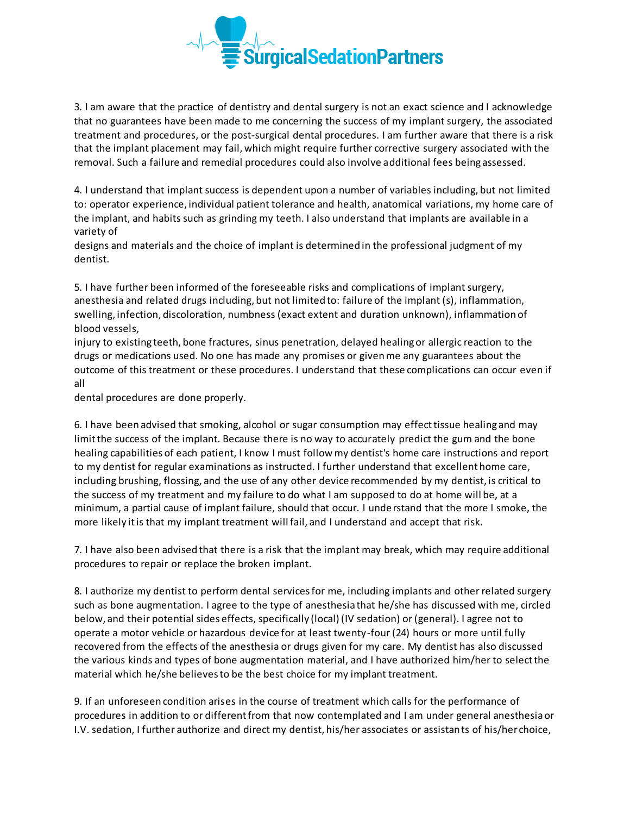

3. I am aware that the practice of dentistry and dental surgery is not an exact science and I acknowledge that no guarantees have been made to me concerning the success of my implant surgery, the associated treatment and procedures, or the post-surgical dental procedures. I am further aware that there is a risk that the implant placement may fail, which might require further corrective surgery associated with the removal. Such a failure and remedial procedures could also involve additional fees being assessed.

4. I understand that implant success is dependent upon a number of variables including, but not limited to: operator experience, individual patient tolerance and health, anatomical variations, my home care of the implant, and habits such as grinding my teeth. I also understand that implants are available in a variety of

designs and materials and the choice of implant is determined in the professional judgment of my dentist.

5. I have further been informed of the foreseeable risks and complications of implant surgery, anesthesia and related drugs including, but not limited to: failure of the implant (s), inflammation, swelling, infection, discoloration, numbness (exact extent and duration unknown), inflammation of blood vessels,

injury to existing teeth, bone fractures, sinus penetration, delayed healing or allergic reaction to the drugs or medications used. No one has made any promises or given me any guarantees about the outcome of this treatment or these procedures. I understand that these complications can occur even if all

dental procedures are done properly.

6. I have been advised that smoking, alcohol or sugar consumption may effect tissue healing and may limit the success of the implant. Because there is no way to accurately predict the gum and the bone healing capabilities of each patient, I know I must follow my dentist's home care instructions and report to my dentist for regular examinations as instructed. I further understand that excellent home care, including brushing, flossing, and the use of any other device recommended by my dentist, is critical to the success of my treatment and my failure to do what I am supposed to do at home will be, at a minimum, a partial cause of implant failure, should that occur. I understand that the more I smoke, the more likely it is that my implant treatment will fail, and I understand and accept that risk.

7. I have also been advised that there is a risk that the implant may break, which may require additional procedures to repair or replace the broken implant.

8. I authorize my dentist to perform dental services for me, including implants and other related surgery such as bone augmentation. I agree to the type of anesthesia that he/she has discussed with me, circled below, and their potential sides effects, specifically (local) (IV sedation) or (general). I agree not to operate a motor vehicle or hazardous device for at least twenty-four (24) hours or more until fully recovered from the effects of the anesthesia or drugs given for my care. My dentist has also discussed the various kinds and types of bone augmentation material, and I have authorized him/her to select the material which he/she believes to be the best choice for my implant treatment.

9. If an unforeseen condition arises in the course of treatment which calls for the performance of procedures in addition to or different from that now contemplated and I am under general anesthesia or I.V. sedation, I further authorize and direct my dentist, his/her associates or assistants of his/her choice,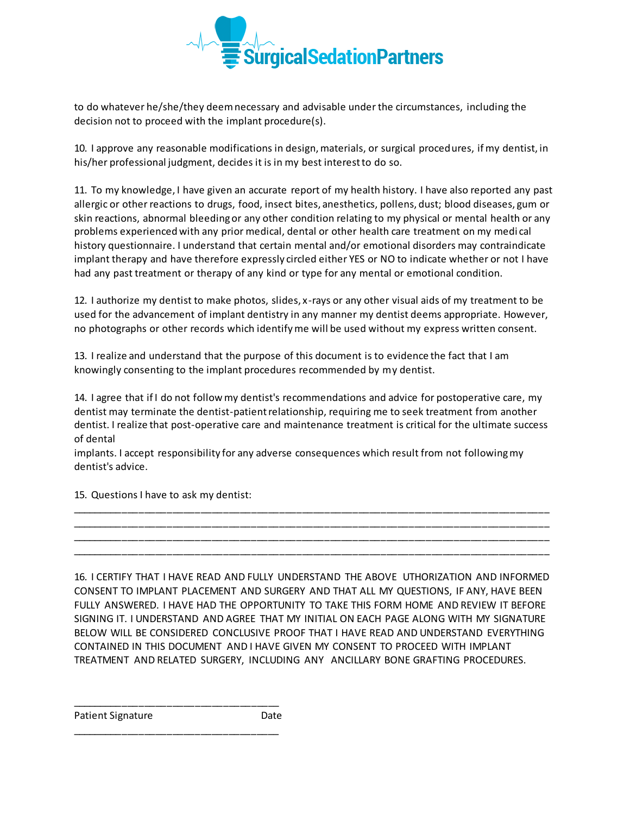

to do whatever he/she/they deem necessary and advisable under the circumstances, including the decision not to proceed with the implant procedure(s).

10. I approve any reasonable modifications in design, materials, or surgical procedures, if my dentist, in his/her professional judgment, decides it is in my best interest to do so.

11. To my knowledge, I have given an accurate report of my health history. I have also reported any past allergic or other reactions to drugs, food, insect bites, anesthetics, pollens, dust; blood diseases, gum or skin reactions, abnormal bleeding or any other condition relating to my physical or mental health or any problems experienced with any prior medical, dental or other health care treatment on my medi cal history questionnaire. I understand that certain mental and/or emotional disorders may contraindicate implant therapy and have therefore expressly circled either YES or NO to indicate whether or not I have had any past treatment or therapy of any kind or type for any mental or emotional condition.

12. I authorize my dentist to make photos, slides, x-rays or any other visual aids of my treatment to be used for the advancement of implant dentistry in any manner my dentist deems appropriate. However, no photographs or other records which identify me will be used without my express written consent.

13. I realize and understand that the purpose of this document is to evidence the fact that I am knowingly consenting to the implant procedures recommended by my dentist.

14. I agree that if I do not follow my dentist's recommendations and advice for postoperative care, my dentist may terminate the dentist-patient relationship, requiring me to seek treatment from another dentist. I realize that post-operative care and maintenance treatment is critical for the ultimate success of dental

\_\_\_\_\_\_\_\_\_\_\_\_\_\_\_\_\_\_\_\_\_\_\_\_\_\_\_\_\_\_\_\_\_\_\_\_\_\_\_\_\_\_\_\_\_\_\_\_\_\_\_\_\_\_\_\_\_\_\_\_\_\_\_\_\_\_\_\_\_\_\_\_\_\_\_\_\_\_\_\_\_\_\_\_\_ \_\_\_\_\_\_\_\_\_\_\_\_\_\_\_\_\_\_\_\_\_\_\_\_\_\_\_\_\_\_\_\_\_\_\_\_\_\_\_\_\_\_\_\_\_\_\_\_\_\_\_\_\_\_\_\_\_\_\_\_\_\_\_\_\_\_\_\_\_\_\_\_\_\_\_\_\_\_\_\_\_\_\_\_\_ \_\_\_\_\_\_\_\_\_\_\_\_\_\_\_\_\_\_\_\_\_\_\_\_\_\_\_\_\_\_\_\_\_\_\_\_\_\_\_\_\_\_\_\_\_\_\_\_\_\_\_\_\_\_\_\_\_\_\_\_\_\_\_\_\_\_\_\_\_\_\_\_\_\_\_\_\_\_\_\_\_\_\_\_\_ \_\_\_\_\_\_\_\_\_\_\_\_\_\_\_\_\_\_\_\_\_\_\_\_\_\_\_\_\_\_\_\_\_\_\_\_\_\_\_\_\_\_\_\_\_\_\_\_\_\_\_\_\_\_\_\_\_\_\_\_\_\_\_\_\_\_\_\_\_\_\_\_\_\_\_\_\_\_\_\_\_\_\_\_\_

implants. I accept responsibility for any adverse consequences which result from not following my dentist's advice.

15. Questions I have to ask my dentist:

16. I CERTIFY THAT I HAVE READ AND FULLY UNDERSTAND THE ABOVE UTHORIZATION AND INFORMED CONSENT TO IMPLANT PLACEMENT AND SURGERY AND THAT ALL MY QUESTIONS, IF ANY, HAVE BEEN FULLY ANSWERED. I HAVE HAD THE OPPORTUNITY TO TAKE THIS FORM HOME AND REVIEW IT BEFORE SIGNING IT. I UNDERSTAND AND AGREE THAT MY INITIAL ON EACH PAGE ALONG WITH MY SIGNATURE BELOW WILL BE CONSIDERED CONCLUSIVE PROOF THAT I HAVE READ AND UNDERSTAND EVERYTHING CONTAINED IN THIS DOCUMENT AND I HAVE GIVEN MY CONSENT TO PROCEED WITH IMPLANT TREATMENT AND RELATED SURGERY, INCLUDING ANY ANCILLARY BONE GRAFTING PROCEDURES.

Patient Signature Date

\_\_\_\_\_\_\_\_\_\_\_\_\_\_\_\_\_\_\_\_\_\_\_\_\_\_\_\_\_\_\_\_\_\_\_\_\_

\_\_\_\_\_\_\_\_\_\_\_\_\_\_\_\_\_\_\_\_\_\_\_\_\_\_\_\_\_\_\_\_\_\_\_\_\_